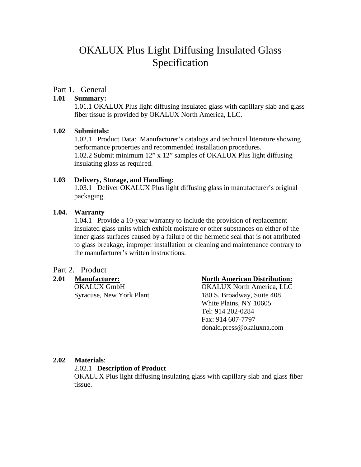# OKALUX Plus Light Diffusing Insulated Glass Specification

### Part 1. General

#### **1.01 Summary:**

1.01.1 OKALUX Plus light diffusing insulated glass with capillary slab and glass fiber tissue is provided by OKALUX North America, LLC.

#### **1.02 Submittals:**

1.02.1 Product Data: Manufacturer's catalogs and technical literature showing performance properties and recommended installation procedures. 1.02.2 Submit minimum 12" x 12" samples of OKALUX Plus light diffusing insulating glass as required.

#### **1.03 Delivery, Storage, and Handling:**

1.03.1 Deliver OKALUX Plus light diffusing glass in manufacturer's original packaging.

#### **1.04. Warranty**

1.04.1 Provide a 10-year warranty to include the provision of replacement insulated glass units which exhibit moisture or other substances on either of the inner glass surfaces caused by a failure of the hermetic seal that is not attributed to glass breakage, improper installation or cleaning and maintenance contrary to the manufacturer's written instructions.

### Part 2. Product

#### **2.01 Manufacturer: North American Distribution:**

OKALUX GmbH OKALUX North America, LLC Syracuse, New York Plant 180 S. Broadway, Suite 408 White Plains, NY 10605 Tel: 914 202-0284 Fax: 914 607-7797 donald.press@okaluxna.com

#### **2.02 Materials**:

#### 2.02.1 **Description of Product**

OKALUX Plus light diffusing insulating glass with capillary slab and glass fiber tissue.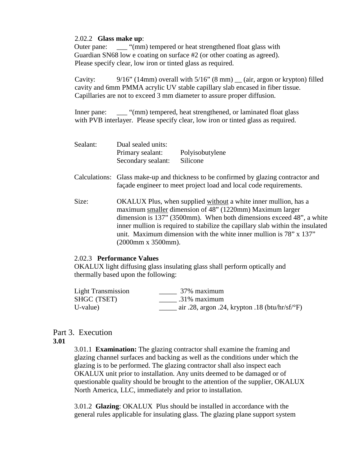#### 2.02.2 **Glass make up**:

Outer pane: \_\_\_ "(mm) tempered or heat strengthened float glass with Guardian SN68 low e coating on surface #2 (or other coating as agreed). Please specify clear, low iron or tinted glass as required.

Cavity: 9/16" (14mm) overall with  $5/16$ " (8 mm) (air, argon or krypton) filled cavity and 6mm PMMA acrylic UV stable capillary slab encased in fiber tissue. Capillaries are not to exceed 3 mm diameter to assure proper diffusion.

Inner pane: "(mm) tempered, heat strengthened, or laminated float glass with PVB interlayer. Please specify clear, low iron or tinted glass as required.

| Sealant: | Dual sealed units:                     |                             |
|----------|----------------------------------------|-----------------------------|
|          | Primary sealant:<br>Secondary sealant: | Polyisobutylene<br>Silicone |
|          |                                        |                             |

- Calculations: Glass make-up and thickness to be confirmed by glazing contractor and façade engineer to meet project load and local code requirements.
- Size: OKALUX Plus, when supplied without a white inner mullion, has a maximum smaller dimension of 48" (1220mm) Maximum larger dimension is 137" (3500mm). When both dimensions exceed 48", a white inner mullion is required to stabilize the capillary slab within the insulated unit. Maximum dimension with the white inner mullion is 78" x 137" (2000mm x 3500mm).

#### 2.02.3 **Performance Values**

OKALUX light diffusing glass insulating glass shall perform optically and thermally based upon the following:

| <b>Light Transmission</b> | 37% maximum                                                       |
|---------------------------|-------------------------------------------------------------------|
| SHGC (TSET)               | .31% maximum                                                      |
| U-value)                  | air .28, argon .24, krypton .18 (btu/hr/sf/ $\rm$ <sup>o</sup> F) |

# Part 3. Execution

## **3.01**

3.01.1 **Examination:** The glazing contractor shall examine the framing and glazing channel surfaces and backing as well as the conditions under which the glazing is to be performed. The glazing contractor shall also inspect each OKALUX unit prior to installation. Any units deemed to be damaged or of questionable quality should be brought to the attention of the supplier, OKALUX North America, LLC, immediately and prior to installation.

3.01.2 **Glazing**: OKALUX Plus should be installed in accordance with the general rules applicable for insulating glass. The glazing plane support system